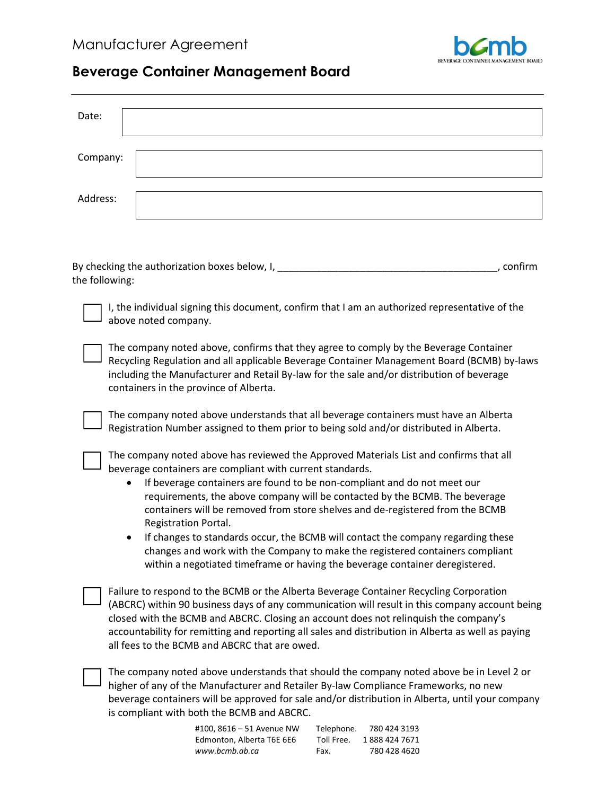

## **Beverage Container Management Board**

| Date:          |                                                                                                                                                                                         |  |  |
|----------------|-----------------------------------------------------------------------------------------------------------------------------------------------------------------------------------------|--|--|
|                |                                                                                                                                                                                         |  |  |
| Company:       |                                                                                                                                                                                         |  |  |
|                |                                                                                                                                                                                         |  |  |
| Address:       |                                                                                                                                                                                         |  |  |
|                |                                                                                                                                                                                         |  |  |
|                |                                                                                                                                                                                         |  |  |
|                |                                                                                                                                                                                         |  |  |
|                | By checking the authorization boxes below, I, ______<br>, confirm                                                                                                                       |  |  |
| the following: |                                                                                                                                                                                         |  |  |
|                | I, the individual signing this document, confirm that I am an authorized representative of the                                                                                          |  |  |
|                | above noted company.                                                                                                                                                                    |  |  |
|                |                                                                                                                                                                                         |  |  |
|                | The company noted above, confirms that they agree to comply by the Beverage Container<br>Recycling Regulation and all applicable Beverage Container Management Board (BCMB) by-laws     |  |  |
|                | including the Manufacturer and Retail By-law for the sale and/or distribution of beverage                                                                                               |  |  |
|                | containers in the province of Alberta.                                                                                                                                                  |  |  |
|                | The company noted above understands that all beverage containers must have an Alberta                                                                                                   |  |  |
|                | Registration Number assigned to them prior to being sold and/or distributed in Alberta.                                                                                                 |  |  |
|                | The company noted above has reviewed the Approved Materials List and confirms that all                                                                                                  |  |  |
|                | beverage containers are compliant with current standards.                                                                                                                               |  |  |
|                | If beverage containers are found to be non-compliant and do not meet our                                                                                                                |  |  |
|                | requirements, the above company will be contacted by the BCMB. The beverage                                                                                                             |  |  |
|                | containers will be removed from store shelves and de-registered from the BCMB<br>Registration Portal.                                                                                   |  |  |
|                | If changes to standards occur, the BCMB will contact the company regarding these                                                                                                        |  |  |
|                | changes and work with the Company to make the registered containers compliant                                                                                                           |  |  |
|                | within a negotiated timeframe or having the beverage container deregistered.                                                                                                            |  |  |
|                | Failure to respond to the BCMB or the Alberta Beverage Container Recycling Corporation                                                                                                  |  |  |
|                | (ABCRC) within 90 business days of any communication will result in this company account being                                                                                          |  |  |
|                | closed with the BCMB and ABCRC. Closing an account does not relinquish the company's                                                                                                    |  |  |
|                | accountability for remitting and reporting all sales and distribution in Alberta as well as paying<br>all fees to the BCMB and ABCRC that are owed.                                     |  |  |
|                |                                                                                                                                                                                         |  |  |
|                | The company noted above understands that should the company noted above be in Level 2 or                                                                                                |  |  |
|                | higher of any of the Manufacturer and Retailer By-law Compliance Frameworks, no new<br>beverage containers will be approved for sale and/or distribution in Alberta, until your company |  |  |
|                | is compliant with both the BCMB and ABCRC.                                                                                                                                              |  |  |

#100, 8616 – 51 Avenue NW Telephone. 780 424 3193 Edmonton, Alberta T6E 6E6 Toll Free. 1888 424 7671<br>www.bcmb.ab.ca Fax. 780 428 4620 www.bcmb.ab.ca